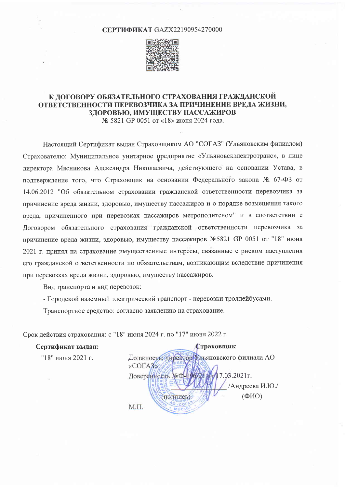#### **СЕРТИФИКАТ GAZX22190954270000**



# К ДОГОВОРУ ОБЯЗАТЕЛЬНОГО СТРАХОВАНИЯ ГРАЖДАНСКОЙ ОТВЕТСТВЕННОСТИ ПЕРЕВОЗЧИКА ЗА ПРИЧИНЕНИЕ ВРЕДА ЖИЗНИ, ЗДОРОВЬЮ, ИМУЩЕСТВУ ПАССАЖИРОВ

№ 5821 GP 0051 от «18» июня 2024 года.

Настоящий Сертификат выдан Страховщиком АО "СОГАЗ" (Ульяновским филиалом) Страхователю: Муниципальное унитарное предприятие «Ульяновскэлектротранс», в лице директора Мясникова Александра Николаевича, действующего на основании Устава, в подтверждение того, что Страховщик на основании Федерального закона № 67-ФЗ от 14.06.2012 "Об обязательном страховании гражданской ответственности перевозчика за причинение вреда жизни, здоровью, имуществу пассажиров и о порядке возмещения такого вреда, причиненного при перевозках пассажиров метрополитеном" и в соответствии с Договором обязательного страхования гражданской ответственности перевозчика за причинение вреда жизни, здоровью, имуществу пассажиров №5821 GP 0051 от "18" июня 2021 г. принял на страхование имущественные интересы, связанные с риском наступления его гражданской ответственности по обязательствам, возникающим вследствие причинения при перевозках вреда жизни, здоровью, имуществу пассажиров.

Вид транспорта и вид перевозок:

- Городской наземный электрический транспорт - перевозки троллейбусами.

Транспортное средство: согласно заявлению на страхование.

Срок действия страхования: с "18" июня 2024 г. по "17" июня 2022 г.

Сертификат выдан:

"18" июня 2021 г.

Страховщик Должность: директор **Въяновского филиала АО** «COLA3» Доверенность №Ф  $7.03.2021$ r. /Андреева И.Ю./  $(\Phi$ *HO*) (поднись)  $-CO$  $M.\Pi.$